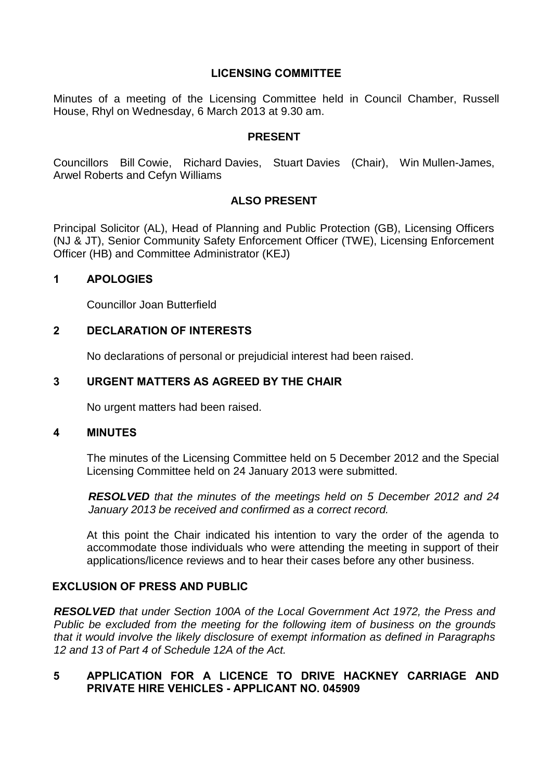# **LICENSING COMMITTEE**

Minutes of a meeting of the Licensing Committee held in Council Chamber, Russell House, Rhyl on Wednesday, 6 March 2013 at 9.30 am.

#### **PRESENT**

Councillors Bill Cowie, Richard Davies, Stuart Davies (Chair), Win Mullen-James, Arwel Roberts and Cefyn Williams

# **ALSO PRESENT**

Principal Solicitor (AL), Head of Planning and Public Protection (GB), Licensing Officers (NJ & JT), Senior Community Safety Enforcement Officer (TWE), Licensing Enforcement Officer (HB) and Committee Administrator (KEJ)

#### **1 APOLOGIES**

Councillor Joan Butterfield

# **2 DECLARATION OF INTERESTS**

No declarations of personal or prejudicial interest had been raised.

# **3 URGENT MATTERS AS AGREED BY THE CHAIR**

No urgent matters had been raised.

#### **4 MINUTES**

The minutes of the Licensing Committee held on 5 December 2012 and the Special Licensing Committee held on 24 January 2013 were submitted.

*RESOLVED that the minutes of the meetings held on 5 December 2012 and 24 January 2013 be received and confirmed as a correct record.*

At this point the Chair indicated his intention to vary the order of the agenda to accommodate those individuals who were attending the meeting in support of their applications/licence reviews and to hear their cases before any other business.

## **EXCLUSION OF PRESS AND PUBLIC**

*RESOLVED that under Section 100A of the Local Government Act 1972, the Press and Public be excluded from the meeting for the following item of business on the grounds that it would involve the likely disclosure of exempt information as defined in Paragraphs 12 and 13 of Part 4 of Schedule 12A of the Act.*

### **5 APPLICATION FOR A LICENCE TO DRIVE HACKNEY CARRIAGE AND PRIVATE HIRE VEHICLES - APPLICANT NO. 045909**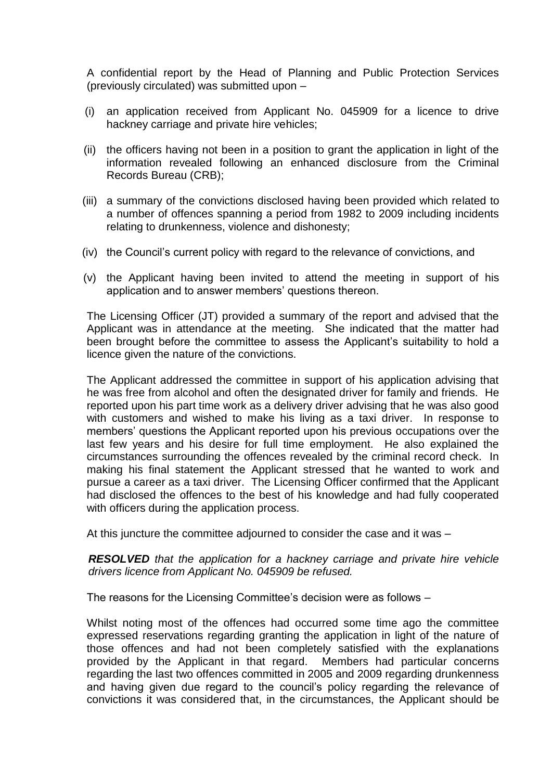A confidential report by the Head of Planning and Public Protection Services (previously circulated) was submitted upon –

- (i) an application received from Applicant No. 045909 for a licence to drive hackney carriage and private hire vehicles;
- (ii) the officers having not been in a position to grant the application in light of the information revealed following an enhanced disclosure from the Criminal Records Bureau (CRB);
- (iii) a summary of the convictions disclosed having been provided which related to a number of offences spanning a period from 1982 to 2009 including incidents relating to drunkenness, violence and dishonesty;
- (iv) the Council's current policy with regard to the relevance of convictions, and
- (v) the Applicant having been invited to attend the meeting in support of his application and to answer members' questions thereon.

The Licensing Officer (JT) provided a summary of the report and advised that the Applicant was in attendance at the meeting. She indicated that the matter had been brought before the committee to assess the Applicant's suitability to hold a licence given the nature of the convictions.

The Applicant addressed the committee in support of his application advising that he was free from alcohol and often the designated driver for family and friends. He reported upon his part time work as a delivery driver advising that he was also good with customers and wished to make his living as a taxi driver. In response to members' questions the Applicant reported upon his previous occupations over the last few years and his desire for full time employment. He also explained the circumstances surrounding the offences revealed by the criminal record check. In making his final statement the Applicant stressed that he wanted to work and pursue a career as a taxi driver. The Licensing Officer confirmed that the Applicant had disclosed the offences to the best of his knowledge and had fully cooperated with officers during the application process.

At this juncture the committee adjourned to consider the case and it was –

*RESOLVED that the application for a hackney carriage and private hire vehicle drivers licence from Applicant No. 045909 be refused.*

The reasons for the Licensing Committee's decision were as follows –

Whilst noting most of the offences had occurred some time ago the committee expressed reservations regarding granting the application in light of the nature of those offences and had not been completely satisfied with the explanations provided by the Applicant in that regard. Members had particular concerns regarding the last two offences committed in 2005 and 2009 regarding drunkenness and having given due regard to the council's policy regarding the relevance of convictions it was considered that, in the circumstances, the Applicant should be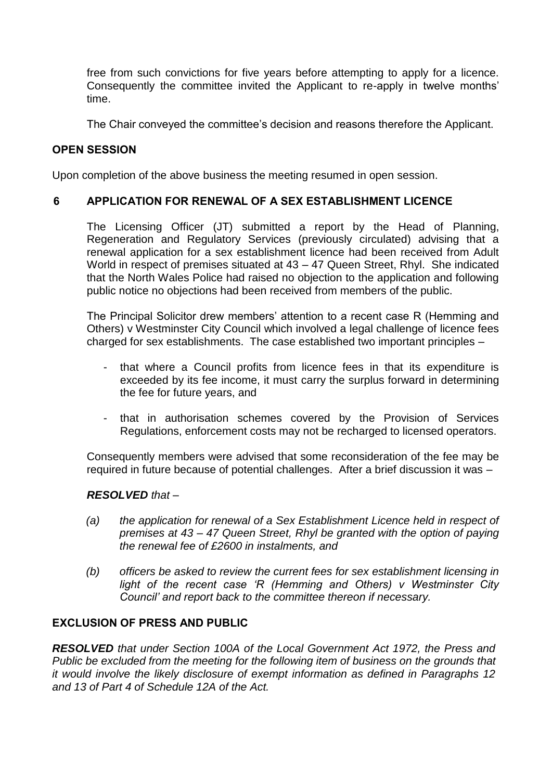free from such convictions for five years before attempting to apply for a licence. Consequently the committee invited the Applicant to re-apply in twelve months' time.

The Chair conveyed the committee's decision and reasons therefore the Applicant.

# **OPEN SESSION**

Upon completion of the above business the meeting resumed in open session.

# **6 APPLICATION FOR RENEWAL OF A SEX ESTABLISHMENT LICENCE**

The Licensing Officer (JT) submitted a report by the Head of Planning, Regeneration and Regulatory Services (previously circulated) advising that a renewal application for a sex establishment licence had been received from Adult World in respect of premises situated at 43 – 47 Queen Street, Rhyl. She indicated that the North Wales Police had raised no objection to the application and following public notice no objections had been received from members of the public.

The Principal Solicitor drew members' attention to a recent case R (Hemming and Others) v Westminster City Council which involved a legal challenge of licence fees charged for sex establishments. The case established two important principles –

- that where a Council profits from licence fees in that its expenditure is exceeded by its fee income, it must carry the surplus forward in determining the fee for future years, and
- that in authorisation schemes covered by the Provision of Services Regulations, enforcement costs may not be recharged to licensed operators.

Consequently members were advised that some reconsideration of the fee may be required in future because of potential challenges. After a brief discussion it was –

### *RESOLVED that –*

- *(a) the application for renewal of a Sex Establishment Licence held in respect of premises at 43 – 47 Queen Street, Rhyl be granted with the option of paying the renewal fee of £2600 in instalments, and*
- *(b) officers be asked to review the current fees for sex establishment licensing in light of the recent case 'R (Hemming and Others) v Westminster City Council' and report back to the committee thereon if necessary.*

# **EXCLUSION OF PRESS AND PUBLIC**

*RESOLVED that under Section 100A of the Local Government Act 1972, the Press and Public be excluded from the meeting for the following item of business on the grounds that it would involve the likely disclosure of exempt information as defined in Paragraphs 12 and 13 of Part 4 of Schedule 12A of the Act.*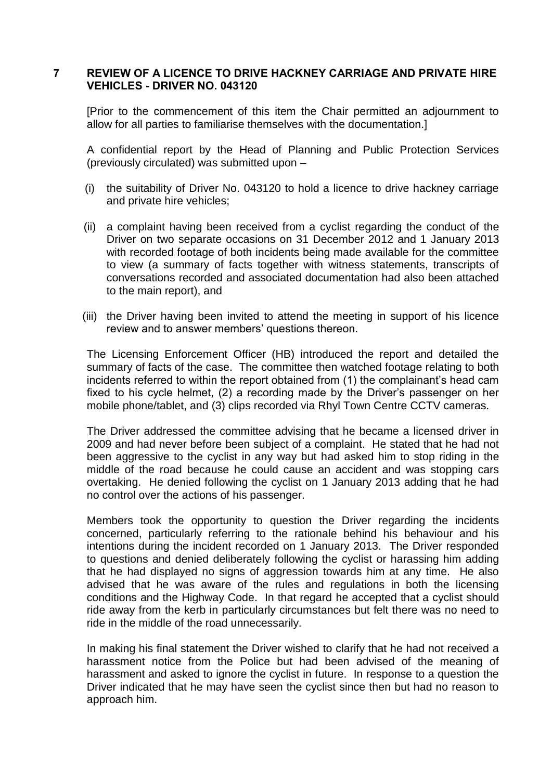#### **7 REVIEW OF A LICENCE TO DRIVE HACKNEY CARRIAGE AND PRIVATE HIRE VEHICLES - DRIVER NO. 043120**

[Prior to the commencement of this item the Chair permitted an adjournment to allow for all parties to familiarise themselves with the documentation.]

A confidential report by the Head of Planning and Public Protection Services (previously circulated) was submitted upon –

- (i) the suitability of Driver No. 043120 to hold a licence to drive hackney carriage and private hire vehicles;
- (ii) a complaint having been received from a cyclist regarding the conduct of the Driver on two separate occasions on 31 December 2012 and 1 January 2013 with recorded footage of both incidents being made available for the committee to view (a summary of facts together with witness statements, transcripts of conversations recorded and associated documentation had also been attached to the main report), and
- (iii) the Driver having been invited to attend the meeting in support of his licence review and to answer members' questions thereon.

The Licensing Enforcement Officer (HB) introduced the report and detailed the summary of facts of the case. The committee then watched footage relating to both incidents referred to within the report obtained from (1) the complainant's head cam fixed to his cycle helmet, (2) a recording made by the Driver's passenger on her mobile phone/tablet, and (3) clips recorded via Rhyl Town Centre CCTV cameras.

The Driver addressed the committee advising that he became a licensed driver in 2009 and had never before been subject of a complaint. He stated that he had not been aggressive to the cyclist in any way but had asked him to stop riding in the middle of the road because he could cause an accident and was stopping cars overtaking. He denied following the cyclist on 1 January 2013 adding that he had no control over the actions of his passenger.

Members took the opportunity to question the Driver regarding the incidents concerned, particularly referring to the rationale behind his behaviour and his intentions during the incident recorded on 1 January 2013. The Driver responded to questions and denied deliberately following the cyclist or harassing him adding that he had displayed no signs of aggression towards him at any time. He also advised that he was aware of the rules and regulations in both the licensing conditions and the Highway Code. In that regard he accepted that a cyclist should ride away from the kerb in particularly circumstances but felt there was no need to ride in the middle of the road unnecessarily.

In making his final statement the Driver wished to clarify that he had not received a harassment notice from the Police but had been advised of the meaning of harassment and asked to ignore the cyclist in future. In response to a question the Driver indicated that he may have seen the cyclist since then but had no reason to approach him.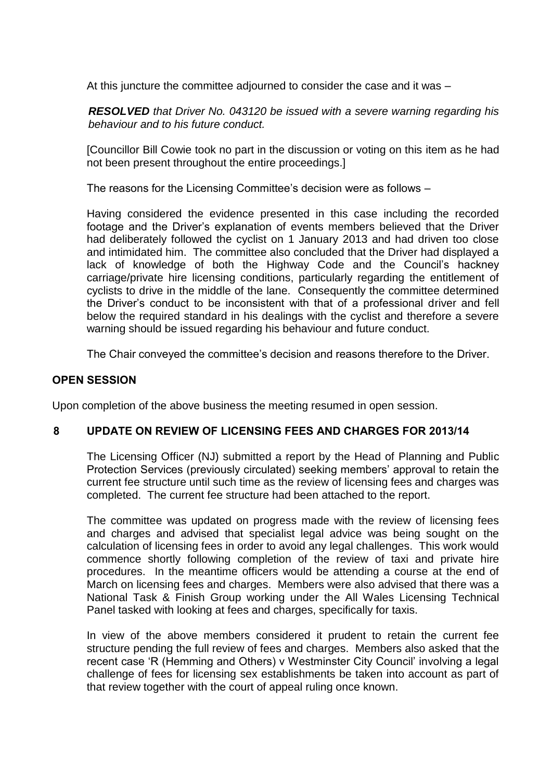At this juncture the committee adjourned to consider the case and it was –

*RESOLVED that Driver No. 043120 be issued with a severe warning regarding his behaviour and to his future conduct.*

[Councillor Bill Cowie took no part in the discussion or voting on this item as he had not been present throughout the entire proceedings.]

The reasons for the Licensing Committee's decision were as follows –

Having considered the evidence presented in this case including the recorded footage and the Driver's explanation of events members believed that the Driver had deliberately followed the cyclist on 1 January 2013 and had driven too close and intimidated him. The committee also concluded that the Driver had displayed a lack of knowledge of both the Highway Code and the Council's hackney carriage/private hire licensing conditions, particularly regarding the entitlement of cyclists to drive in the middle of the lane. Consequently the committee determined the Driver's conduct to be inconsistent with that of a professional driver and fell below the required standard in his dealings with the cyclist and therefore a severe warning should be issued regarding his behaviour and future conduct.

The Chair conveyed the committee's decision and reasons therefore to the Driver.

### **OPEN SESSION**

Upon completion of the above business the meeting resumed in open session.

### **8 UPDATE ON REVIEW OF LICENSING FEES AND CHARGES FOR 2013/14**

The Licensing Officer (NJ) submitted a report by the Head of Planning and Public Protection Services (previously circulated) seeking members' approval to retain the current fee structure until such time as the review of licensing fees and charges was completed. The current fee structure had been attached to the report.

The committee was updated on progress made with the review of licensing fees and charges and advised that specialist legal advice was being sought on the calculation of licensing fees in order to avoid any legal challenges. This work would commence shortly following completion of the review of taxi and private hire procedures. In the meantime officers would be attending a course at the end of March on licensing fees and charges. Members were also advised that there was a National Task & Finish Group working under the All Wales Licensing Technical Panel tasked with looking at fees and charges, specifically for taxis.

In view of the above members considered it prudent to retain the current fee structure pending the full review of fees and charges. Members also asked that the recent case 'R (Hemming and Others) v Westminster City Council' involving a legal challenge of fees for licensing sex establishments be taken into account as part of that review together with the court of appeal ruling once known.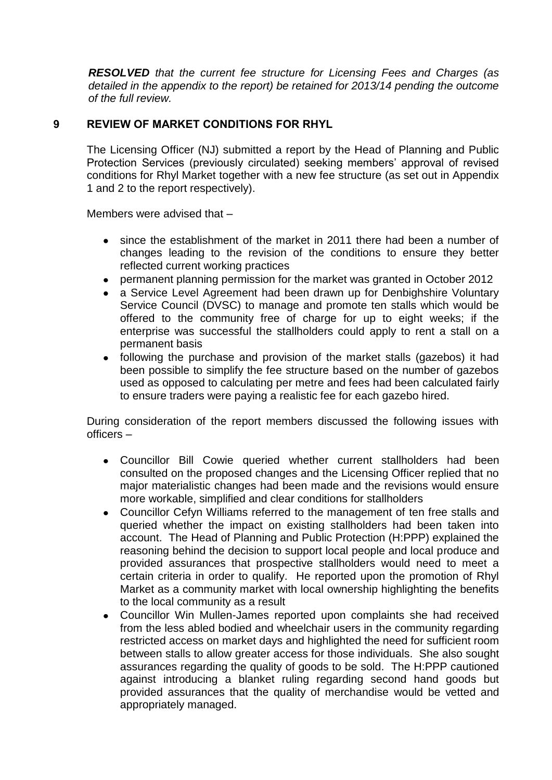*RESOLVED that the current fee structure for Licensing Fees and Charges (as detailed in the appendix to the report) be retained for 2013/14 pending the outcome of the full review.*

# **9 REVIEW OF MARKET CONDITIONS FOR RHYL**

The Licensing Officer (NJ) submitted a report by the Head of Planning and Public Protection Services (previously circulated) seeking members' approval of revised conditions for Rhyl Market together with a new fee structure (as set out in Appendix 1 and 2 to the report respectively).

Members were advised that –

- since the establishment of the market in 2011 there had been a number of changes leading to the revision of the conditions to ensure they better reflected current working practices
- permanent planning permission for the market was granted in October 2012
- a Service Level Agreement had been drawn up for Denbighshire Voluntary Service Council (DVSC) to manage and promote ten stalls which would be offered to the community free of charge for up to eight weeks; if the enterprise was successful the stallholders could apply to rent a stall on a permanent basis
- following the purchase and provision of the market stalls (gazebos) it had been possible to simplify the fee structure based on the number of gazebos used as opposed to calculating per metre and fees had been calculated fairly to ensure traders were paying a realistic fee for each gazebo hired.

During consideration of the report members discussed the following issues with officers –

- Councillor Bill Cowie queried whether current stallholders had been consulted on the proposed changes and the Licensing Officer replied that no major materialistic changes had been made and the revisions would ensure more workable, simplified and clear conditions for stallholders
- Councillor Cefyn Williams referred to the management of ten free stalls and queried whether the impact on existing stallholders had been taken into account. The Head of Planning and Public Protection (H:PPP) explained the reasoning behind the decision to support local people and local produce and provided assurances that prospective stallholders would need to meet a certain criteria in order to qualify. He reported upon the promotion of Rhyl Market as a community market with local ownership highlighting the benefits to the local community as a result
- Councillor Win Mullen-James reported upon complaints she had received from the less abled bodied and wheelchair users in the community regarding restricted access on market days and highlighted the need for sufficient room between stalls to allow greater access for those individuals. She also sought assurances regarding the quality of goods to be sold. The H:PPP cautioned against introducing a blanket ruling regarding second hand goods but provided assurances that the quality of merchandise would be vetted and appropriately managed.